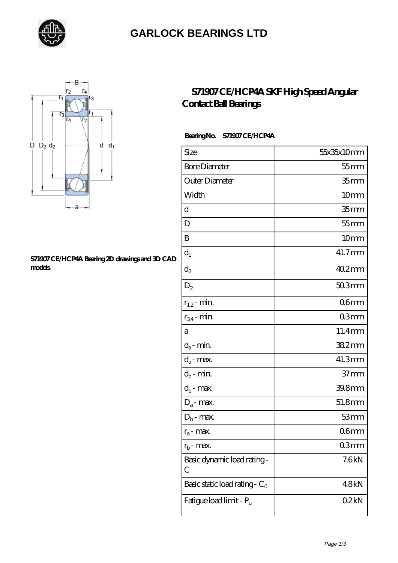

### **[GARLOCK BEARINGS LTD](https://letterstopriests.com)**



#### **[S71907 CE/HCP4A Bearing 2D drawings and 3D CAD](https://letterstopriests.com/pic-935130.html) [models](https://letterstopriests.com/pic-935130.html)**

### **[S71907 CE/HCP4A SKF High Speed Angular](https://letterstopriests.com/skf-bearing/s71907-ce-hcp4a.html) [Contact Ball Bearings](https://letterstopriests.com/skf-bearing/s71907-ce-hcp4a.html)**

### **Bearing No. S71907 CE/HCP4A**

| Size                             | 55x35x10mm          |
|----------------------------------|---------------------|
| <b>Bore Diameter</b>             | $55$ mm             |
| Outer Diameter                   | 35 <sub>mm</sub>    |
| Width                            | 10 <sub>mm</sub>    |
| d                                | 35 <sub>mm</sub>    |
| D                                | $55$ mm             |
| B                                | 10 <sub>mm</sub>    |
| $d_1$                            | 41.7mm              |
| $\mathrm{d}_2$                   | $402$ <sub>mm</sub> |
| $\mathrm{D}_2$                   | 50.3mm              |
| $r_{1,2}$ - min.                 | 06 <sub>mm</sub>    |
| $r_{34}$ - min.                  | 03 <sub>mm</sub>    |
| а                                | 11.4mm              |
| $d_a$ - min.                     | 382mm               |
| $d_{\boldsymbol{a}}$ - max.      | 41.3mm              |
| $d_b$ - min.                     | 37 <sub>mm</sub>    |
| $d_b$ - max.                     | 39.8mm              |
| $D_a$ - max.                     | 51.8mm              |
| $D_b$ - max.                     | 53mm                |
| $r_a$ - max.                     | 06mm                |
| $r_{\rm b}$ - max.               | 03mm                |
| Basic dynamic load rating-<br>С  | 7.6kN               |
| Basic static load rating - $C_0$ | 48kN                |
| Fatigue load limit - Pu          | 02kN                |
|                                  |                     |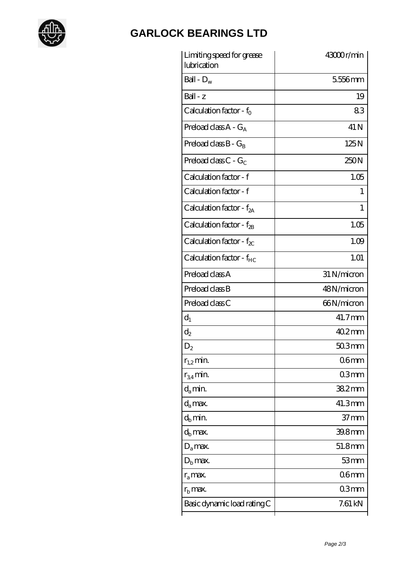

# **[GARLOCK BEARINGS LTD](https://letterstopriests.com)**

| Limiting speed for grease<br>lubrication | 43000r/min       |
|------------------------------------------|------------------|
| Ball - $D_w$                             | 5556mm           |
| $Ball - z$                               | 19               |
| Calculation factor - $f_0$               | 83               |
| Preload class $A - G_A$                  | 41 N             |
| Preload class $B - G_B$                  | 125N             |
| Preload class C - $G_C$                  | 250N             |
| Calculation factor - f                   | 1.05             |
| Calculation factor - f                   | 1                |
| Calculation factor - $f_{2A}$            | 1                |
| Calculation factor - $f_{2B}$            | 1.05             |
| Calculation factor - $f_{\chi}$          | 1.09             |
| Calculation factor - f <sub>HC</sub>     | 1.01             |
| Preload class A                          | 31 N/micron      |
| Preload class B                          | 48N/micron       |
| Preload class C                          | 66N/micron       |
| $d_1$                                    | 41.7mm           |
| $d_2$                                    | $402$ mm         |
| $\mathrm{D}_2$                           | $503$ mm         |
| $r_{1,2}$ min.                           | 06 <sub>mm</sub> |
| $r_{34}$ min.                            | 03mm             |
| $d_{a}$ min.                             | $382$ mm         |
| $d_a$ max.                               | 41.3mm           |
| $d_h$ min.                               | $37 \text{mm}$   |
| $d_h$ max.                               | 39.8mm           |
| $D_a$ max.                               | 51.8mm           |
| $D_{\rm b}$ max.                         | 53mm             |
| $r_a$ max.                               | 06 <sub>mm</sub> |
| $r_{\rm b}$ max.                         | 03mm             |
| Basic dynamic load rating C              | 7.61 kN          |
|                                          |                  |